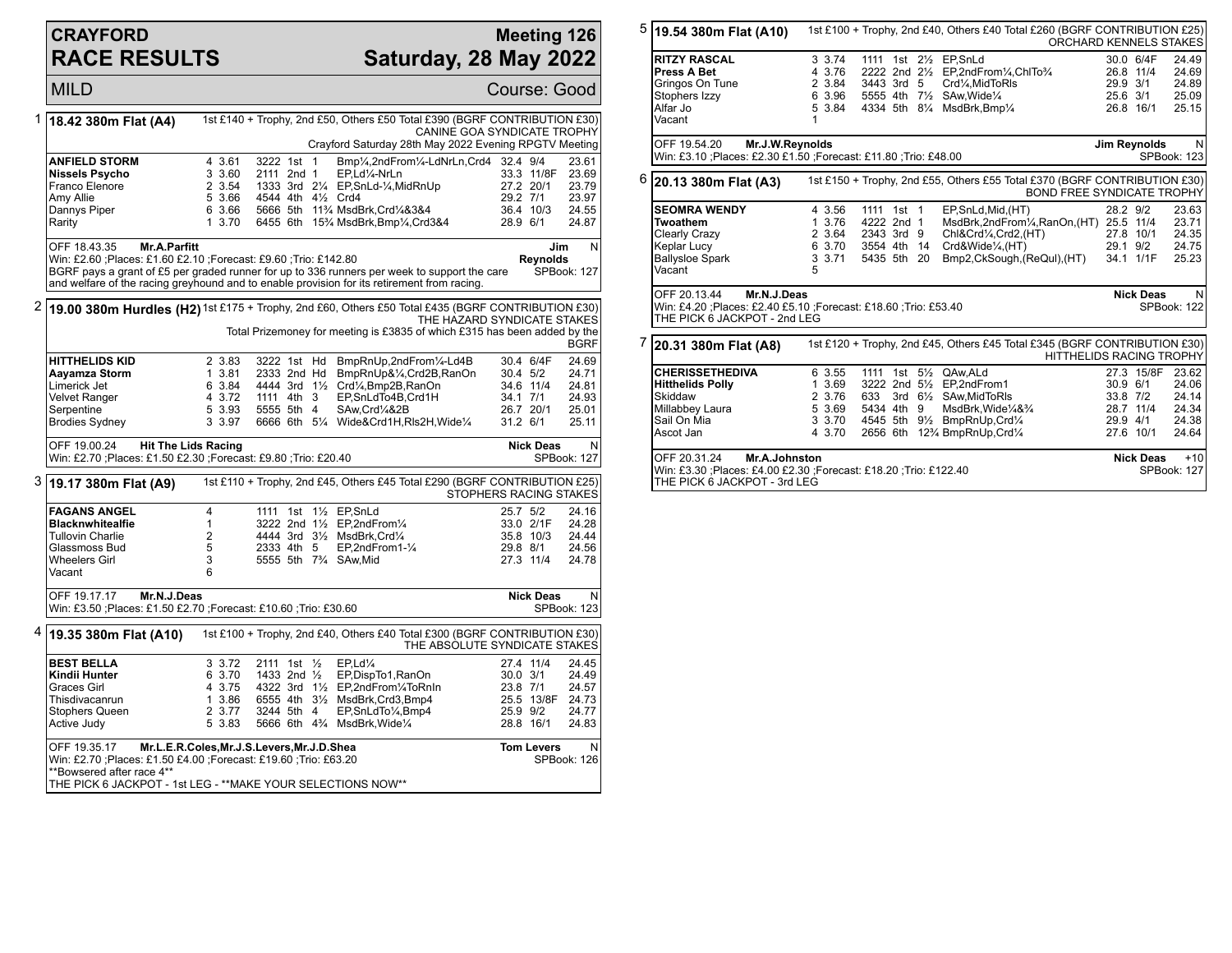## **CRAYFORD RACE RESULTS**

## **Meeting 126 Saturday, 28 May 2022**

|                                                                                                                                   | <b>MILD</b>                                                                                                                                                                                                   |                                                           |                                                        |                |                                                                                                                                                                                                                                            |                                  |                                                         | Course: Good                                                       |
|-----------------------------------------------------------------------------------------------------------------------------------|---------------------------------------------------------------------------------------------------------------------------------------------------------------------------------------------------------------|-----------------------------------------------------------|--------------------------------------------------------|----------------|--------------------------------------------------------------------------------------------------------------------------------------------------------------------------------------------------------------------------------------------|----------------------------------|---------------------------------------------------------|--------------------------------------------------------------------|
| 1                                                                                                                                 | 18.42 380m Flat (A4)                                                                                                                                                                                          |                                                           |                                                        |                | 1st £140 + Trophy, 2nd £50, Others £50 Total £390 (BGRF CONTRIBUTION £30)<br>CANINE GOA SYNDICATE TROPHY<br>Crayford Saturday 28th May 2022 Evening RPGTV Meeting                                                                          |                                  |                                                         |                                                                    |
|                                                                                                                                   | <b>ANFIELD STORM</b><br>Nissels Psycho<br>Franco Elenore<br>Amy Allie<br>Dannys Piper<br>Rarity                                                                                                               | 4 3.61<br>3 3.60<br>2 3.54<br>5 3.66<br>6 3.66<br>1, 3.70 | 3222 1st<br>2111 2nd 1<br>4544 4th 41/2 Crd4           | $\overline{1}$ | Bmp1/ <sub>4</sub> ,2ndFrom1/4-LdNrLn,Crd4 32.4 9/4<br>EP,Ld1/4-NrLn<br>1333 3rd 21/4 EP, SnLd-1/4, MidRnUp<br>5666 5th 11% MsdBrk, Crd1/4&3&4<br>6455 6th 15 <sup>3</sup> / <sub>4</sub> MsdBrk, Bmp <sup>1</sup> / <sub>4</sub> , Crd3&4 | 29.2 7/1<br>28.9 6/1             | 33.3 11/8F<br>27.2 20/1<br>36.4 10/3                    | 23.61<br>23.69<br>23.79<br>23.97<br>24.55<br>24.87                 |
|                                                                                                                                   | OFF 18.43.35<br><b>Mr.A.Parfitt</b><br>Win: £2.60 ; Places: £1.60 £2.10 ; Forecast: £9.60 ; Trio: £142.80                                                                                                     |                                                           |                                                        |                | BGRF pays a grant of £5 per graded runner for up to 336 runners per week to support the care<br>and welfare of the racing greyhound and to enable provision for its retirement from racing.                                                |                                  | <b>Revnolds</b>                                         | N<br>Jim<br>SPBook: 127                                            |
| 2                                                                                                                                 | 19.00 380m Hurdles (H2) 1st £175 + Trophy, 2nd £60, Others £50 Total £435 (BGRF CONTRIBUTION £30)<br>THE HAZARD SYNDICATE STAKES<br>Total Prizemoney for meeting is £3835 of which £315 has been added by the |                                                           |                                                        |                |                                                                                                                                                                                                                                            |                                  | <b>BGRF</b>                                             |                                                                    |
|                                                                                                                                   | <b>HITTHELIDS KID</b><br>Aayamza Storm<br>Limerick Jet<br><b>Velvet Ranger</b><br>Serpentine<br><b>Brodies Sydney</b>                                                                                         | 2 3.83<br>13.81<br>6 3.84<br>4 3.72<br>5 3.93<br>3 3.97   | 3222 1st Hd<br>2333 2nd Hd<br>1111 4th 3<br>5555 5th 4 |                | BmpRnUp,2ndFrom1/4-Ld4B<br>BmpRnUp&1/4,Crd2B,RanOn<br>4444 3rd 11/2 Crd1/4, Bmp2B, RanOn<br>EP,SnLdTo4B,Crd1H<br>SAw.Crd1/4&2B<br>6666 6th 51/4 Wide&Crd1H, RIs2H, Wide1/4                                                                 | 30.4 5/2<br>34.1 7/1<br>31.2 6/1 | 30.4 6/4F<br>34.6 11/4<br>26.7 20/1                     | 24.69<br>24.71<br>24.81<br>24.93<br>25.01<br>25.11                 |
|                                                                                                                                   | OFF 19.00.24<br><b>Hit The Lids Racing</b><br>Win: £2.70 ; Places: £1.50 £2.30 ; Forecast: £9.80 ; Trio: £20.40                                                                                               |                                                           |                                                        |                |                                                                                                                                                                                                                                            |                                  | <b>Nick Deas</b>                                        | N<br>SPBook: 127                                                   |
| 3<br>1st £110 + Trophy, 2nd £45, Others £45 Total £290 (BGRF CONTRIBUTION £25)<br>[19.17 380m Flat (A9)<br>STOPHERS RACING STAKES |                                                                                                                                                                                                               |                                                           |                                                        |                |                                                                                                                                                                                                                                            |                                  |                                                         |                                                                    |
|                                                                                                                                   | <b>FAGANS ANGEL</b><br><b>Blacknwhitealfie</b>                                                                                                                                                                | $\overline{4}$<br>$\mathbf{1}$                            |                                                        |                | 1111 1st 11/2 EP, SnLd<br>3222 2nd 11/2 EP.2ndFrom1/4                                                                                                                                                                                      | 25.7 5/2                         |                                                         | 24.16<br>24.28                                                     |
|                                                                                                                                   | <b>Tullovin Charlie</b><br>Glassmoss Bud<br><b>Wheelers Girl</b><br>Vacant                                                                                                                                    | 2<br>5<br>3<br>6                                          | 2333 4th 5                                             |                | 4444 3rd 31/2 MsdBrk.Crd1/4<br>EP,2ndFrom1- $\frac{1}{4}$<br>5555 5th 73/4 SAw.Mid                                                                                                                                                         | 29.8 8/1                         | 33.0 2/1F<br>35.8 10/3<br>27.3 11/4                     | 24.44<br>24.56<br>24.78                                            |
|                                                                                                                                   | OFF 19.17.17<br>Mr.N.J.Deas<br>Win: £3.50 ;Places: £1.50 £2.70 ;Forecast: £10.60 ;Trio: £30.60                                                                                                                |                                                           |                                                        |                |                                                                                                                                                                                                                                            |                                  | <b>Nick Deas</b>                                        | N<br>SPBook: 123                                                   |
|                                                                                                                                   | $4 19.35380m$ Flat (A10)                                                                                                                                                                                      |                                                           |                                                        |                | 1st £100 + Trophy, 2nd £40, Others £40 Total £300 (BGRF CONTRIBUTION £30)<br>THE ABSOLUTE SYNDICATE STAKES                                                                                                                                 |                                  |                                                         |                                                                    |
|                                                                                                                                   | <b>BEST BELLA</b><br>Kindii Hunter<br><b>Graces Girl</b><br>Thisdivacanrun<br>Stophers Queen<br>Active Judy<br>Mr.L.E.R.Coles, Mr.J.S.Levers, Mr.J.D.Shea<br>OFF 19.35.17                                     | 3 3.72<br>6 3.70<br>4 3.75<br>1 3.86<br>2 3.77<br>5 3.83  | 2111 1st 1/2<br>1433 2nd 1/2<br>3244 5th 4             |                | EP.Ld%<br>EP,DispTo1,RanOn<br>4322 3rd 11/2 EP,2ndFrom1/4ToRnIn<br>6555 4th 31/2 MsdBrk, Crd3, Bmp4<br>EP, SnLdTo 1/4, Bmp4<br>5666 6th 43/4 MsdBrk, Wide 1/4                                                                              | $30.0$ $3/1$<br>23.8 7/1         | 27.4 11/4<br>25.9 9/2<br>28.8 16/1<br><b>Tom Levers</b> | 24.45<br>24.49<br>24.57<br>25.5 13/8F 24.73<br>24.77<br>24.83<br>N |

|                                                                                                                                                       | $5 $ 19.54 380m Flat (A10)                                                                                                           | 1st £100 + Trophy, 2nd £40, Others £40 Total £260 (BGRF CONTRIBUTION £25)<br><b>ORCHARD KENNELS STAKES</b>           |                                                            |                                                       |  |  |                                                                                                                                                                                      |                  |                                                             |                                                               |
|-------------------------------------------------------------------------------------------------------------------------------------------------------|--------------------------------------------------------------------------------------------------------------------------------------|----------------------------------------------------------------------------------------------------------------------|------------------------------------------------------------|-------------------------------------------------------|--|--|--------------------------------------------------------------------------------------------------------------------------------------------------------------------------------------|------------------|-------------------------------------------------------------|---------------------------------------------------------------|
|                                                                                                                                                       | <b>RITZY RASCAL</b><br><b>Press A Bet</b><br>Gringos On Tune<br>Stophers Izzy<br>Alfar Jo<br>Vacant                                  | 1                                                                                                                    | 3 3.74<br>4 3.76<br>2 3.84<br>6 3.96<br>5 3.84             | 3443 3rd 5                                            |  |  | 1111 1st 21/2 EP, SnLd<br>2222 2nd 21/2 EP.2ndFrom1/4.ChITo3/4<br>Crd1⁄4, MidToRIs<br>5555 4th 71/2 SAw, Wide 1/4<br>4334 5th 81/4 MsdBrk, Bmp1/4                                    |                  | 30.0 6/4F<br>26.8 11/4<br>29.9 3/1<br>25.6 3/1<br>26.8 16/1 | 24.49<br>24.69<br>24.89<br>25.09<br>25.15                     |
|                                                                                                                                                       | OFF 19.54.20                                                                                                                         | Mr.J.W.Reynolds<br>Jim Reynolds<br>Win: £3.10 ; Places: £2.30 £1.50 ; Forecast: £11.80 ; Trio: £48.00<br>SPBook: 123 |                                                            |                                                       |  |  |                                                                                                                                                                                      | N.               |                                                             |                                                               |
|                                                                                                                                                       | $6$ 20.13 380m Flat (A3)                                                                                                             |                                                                                                                      |                                                            |                                                       |  |  | 1st £150 + Trophy, 2nd £55, Others £55 Total £370 (BGRF CONTRIBUTION £30)<br><b>BOND FREE SYNDICATE TROPHY</b>                                                                       |                  |                                                             |                                                               |
|                                                                                                                                                       | <b>SEOMRA WENDY</b><br><b>Twoathem</b><br>Clearly Crazy<br>Keplar Lucy<br><b>Ballysloe Spark</b><br>Vacant                           | 5                                                                                                                    | 4 3.56<br>1 3.76<br>2 3.64<br>6 3.70 3554 4th 14<br>3 3.71 | 1111 1st 1<br>4222 2nd 1<br>2343 3rd 9<br>5435 5th 20 |  |  | EP,SnLd,Mid,(HT)<br>MsdBrk,2ndFrom1/4,RanOn,(HT) 25.5 11/4<br>Chl&Crd¼,Crd2,(HT)<br>Crd&Wide¼,(HT)<br>Bmp2,CkSough, (ReQul), (HT)                                                    | 28.2 9/2         | 27.8 10/1<br>29.1 9/2<br>34.1 1/1F                          | 23.63<br>23.71<br>24.35<br>24.75<br>25.23                     |
| OFF 20.13.44<br>Mr.N.J.Deas<br><b>Nick Deas</b><br>Win: £4.20 ; Places: £2.40 £5.10 ; Forecast: £18.60 ; Trio: £53.40<br>THE PICK 6 JACKPOT - 2nd LEG |                                                                                                                                      |                                                                                                                      |                                                            |                                                       |  |  | N.<br>SPBook: 122                                                                                                                                                                    |                  |                                                             |                                                               |
| 7                                                                                                                                                     | 20.31 380m Flat (A8)                                                                                                                 |                                                                                                                      |                                                            |                                                       |  |  | 1st £120 + Trophy, 2nd £45, Others £45 Total £345 (BGRF CONTRIBUTION £30)<br><b>HITTHELIDS RACING TROPHY</b>                                                                         |                  |                                                             |                                                               |
|                                                                                                                                                       | <b>CHERISSETHEDIVA</b><br><b>Hitthelids Polly</b><br>Skiddaw<br>Millabbey Laura<br>Sail On Mia<br>Ascot Jan                          |                                                                                                                      | 6 3.55<br>1 3.69<br>2 3.76<br>5 3.69<br>4 3.70             | 633<br>5434 4th 9                                     |  |  | 1111 1st 51/2 QAw, ALd<br>3222 2nd 51/2 EP.2ndFrom1<br>3rd 61/ <sub>2</sub> SAw.MidToRIs<br>MsdBrk,Wide¼&¾<br>3 3.70 4545 5th 91/2 BmpRnUp, Crd1/4<br>2656 6th 123/4 BmpRnUp, Crd1/4 |                  | 30.9 6/1<br>33.8 7/2<br>28.7 11/4<br>29.9 4/1<br>27.6 10/1  | 27.3 15/8F 23.62<br>24.06<br>24.14<br>24.34<br>24.38<br>24.64 |
|                                                                                                                                                       | OFF 20.31.24<br>Mr.A.Johnston<br>Win: £3.30 ; Places: £4.00 £2.30 ; Forecast: £18.20 ; Trio: £122.40<br>THE PICK 6 JACKPOT - 3rd LEG |                                                                                                                      |                                                            |                                                       |  |  |                                                                                                                                                                                      | <b>Nick Deas</b> | $+10$<br>SPBook: 127                                        |                                                               |